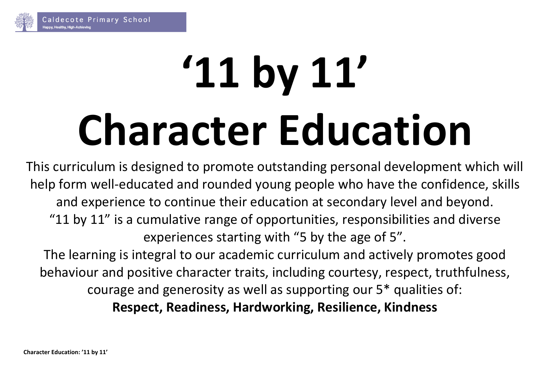

# **'11 by 11' Character Education**

This curriculum is designed to promote outstanding personal development which will help form well-educated and rounded young people who have the confidence, skills and experience to continue their education at secondary level and beyond. "11 by 11" is a cumulative range of opportunities, responsibilities and diverse experiences starting with "5 by the age of 5".

The learning is integral to our academic curriculum and actively promotes good behaviour and positive character traits, including courtesy, respect, truthfulness, courage and generosity as well as supporting our 5\* qualities of: **Respect, Readiness, Hardworking, Resilience, Kindness**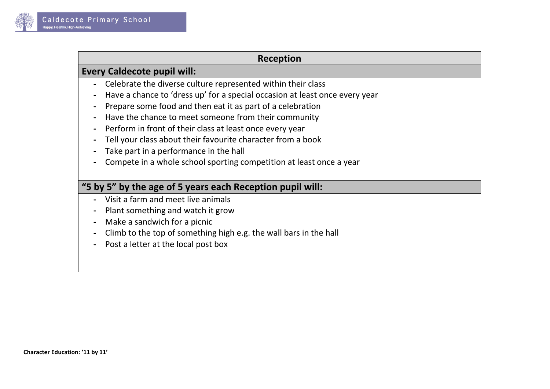

#### **Reception**

#### **Every Caldecote pupil will:**

- **-** Celebrate the diverse culture represented within their class
- **-** Have a chance to 'dress up' for a special occasion at least once every year
- **-** Prepare some food and then eat it as part of a celebration
- **-** Have the chance to meet someone from their community
- **-** Perform in front of their class at least once every year
- **-** Tell your class about their favourite character from a book
- **-** Take part in a performance in the hall
- **-** Compete in a whole school sporting competition at least once a year

# **"5 by 5" by the age of 5 years each Reception pupil will:**

- **-** Visit a farm and meet live animals
- **-** Plant something and watch it grow
- **-** Make a sandwich for a picnic
- **-** Climb to the top of something high e.g. the wall bars in the hall
- **-** Post a letter at the local post box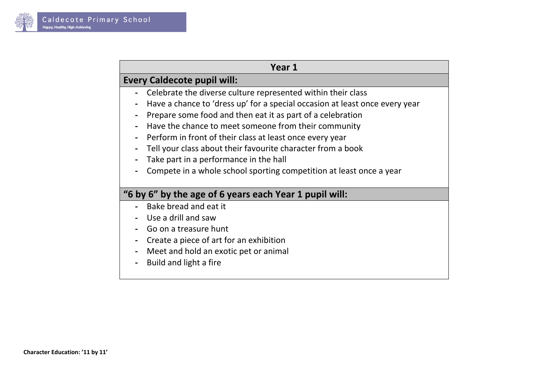

## **Year 1**

## **Every Caldecote pupil will:**

- **-** Celebrate the diverse culture represented within their class
- **-** Have a chance to 'dress up' for a special occasion at least once every year
- **-** Prepare some food and then eat it as part of a celebration
- **-** Have the chance to meet someone from their community
- **-** Perform in front of their class at least once every year
- **-** Tell your class about their favourite character from a book
- **-** Take part in a performance in the hall
- **-** Compete in a whole school sporting competition at least once a year

#### **"6 by 6" by the age of 6 years each Year 1 pupil will:**

- **-** Bake bread and eat it
- **-** Use a drill and saw
- **-** Go on a treasure hunt
- **-** Create a piece of art for an exhibition
- **-** Meet and hold an exotic pet or animal
- **-** Build and light a fire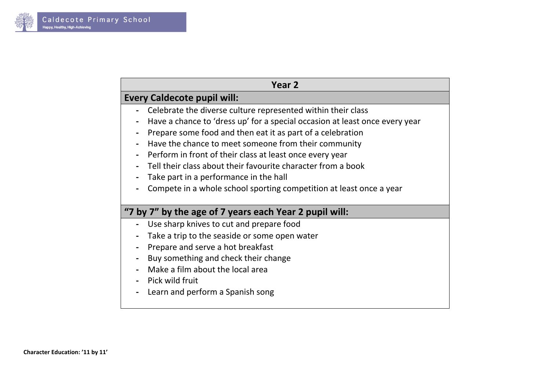

| Year 2                                                                      |  |
|-----------------------------------------------------------------------------|--|
| <b>Every Caldecote pupil will:</b>                                          |  |
| Celebrate the diverse culture represented within their class                |  |
| Have a chance to 'dress up' for a special occasion at least once every year |  |
| Prepare some food and then eat it as part of a celebration                  |  |
| Have the chance to meet someone from their community                        |  |
| Perform in front of their class at least once every year                    |  |
| Tell their class about their favourite character from a book                |  |
| Take part in a performance in the hall                                      |  |
| Compete in a whole school sporting competition at least once a year         |  |
|                                                                             |  |
| "7 by 7" by the age of 7 years each Year 2 pupil will:                      |  |
| Use sharp knives to cut and prepare food                                    |  |
| Take a trip to the seaside or some open water                               |  |
| Prepare and serve a hot breakfast                                           |  |
| Buy something and check their change                                        |  |
| Make a film about the local area                                            |  |
| Pick wild fruit                                                             |  |
| Learn and perform a Spanish song                                            |  |
|                                                                             |  |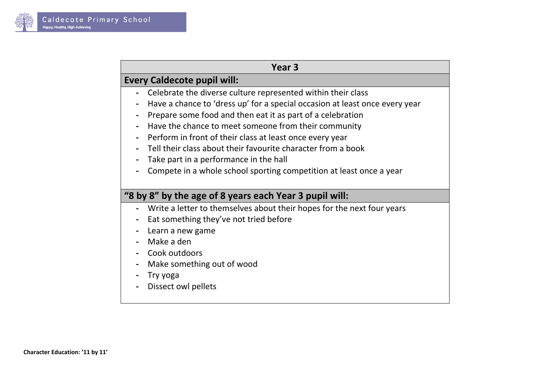

| Year 3 |  |
|--------|--|
|--------|--|

# **Every Caldecote pupil will:**

- **-** Celebrate the diverse culture represented within their class
- **-** Have a chance to 'dress up' for a special occasion at least once every year
- **-** Prepare some food and then eat it as part of a celebration
- **-** Have the chance to meet someone from their community
- **-** Perform in front of their class at least once every year
- **-** Tell their class about their favourite character from a book
- **-** Take part in a performance in the hall
- **-** Compete in a whole school sporting competition at least once a year

### **"8 by 8" by the age of 8 years each Year 3 pupil will:**

- **-** Write a letter to themselves about their hopes for the next four years
- **-** Eat something they've not tried before
- **-** Learn a new game
- **-** Make a den
- **-** Cook outdoors
- **-** Make something out of wood
- **-** Try yoga
- **-** Dissect owl pellets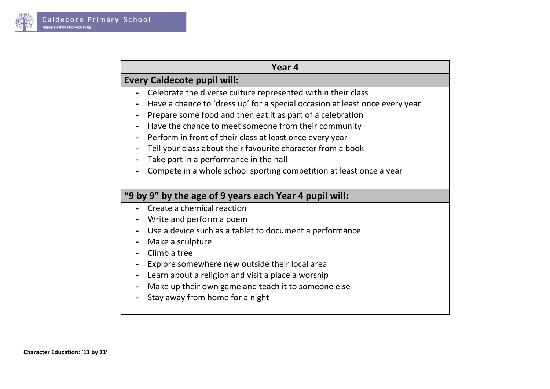

| Year 4 |  |
|--------|--|
|--------|--|

# **Every Caldecote pupil will:**

- **-** Celebrate the diverse culture represented within their class
- **-** Have a chance to 'dress up' for a special occasion at least once every year
- **-** Prepare some food and then eat it as part of a celebration
- **-** Have the chance to meet someone from their community
- **-** Perform in front of their class at least once every year
- **-** Tell your class about their favourite character from a book
- **-** Take part in a performance in the hall
- **-** Compete in a whole school sporting competition at least once a year

#### **"9 by 9" by the age of 9 years each Year 4 pupil will:**

- **-** Create a chemical reaction
- **-** Write and perform a poem
- **-** Use a device such as a tablet to document a performance
- **-** Make a sculpture
- **-** Climb a tree
- **-** Explore somewhere new outside their local area
- **-** Learn about a religion and visit a place a worship
- **-** Make up their own game and teach it to someone else
- **-** Stay away from home for a night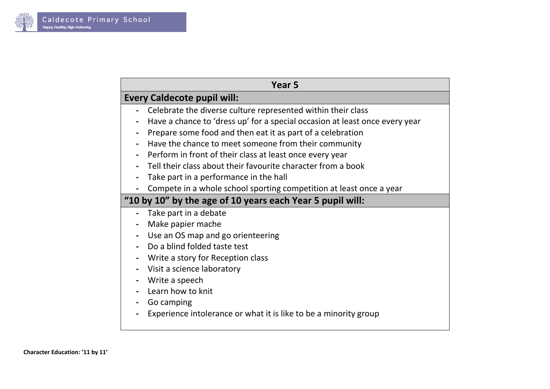

|                                                           | Year 5                                                                      |
|-----------------------------------------------------------|-----------------------------------------------------------------------------|
|                                                           | <b>Every Caldecote pupil will:</b>                                          |
|                                                           | Celebrate the diverse culture represented within their class                |
|                                                           | Have a chance to 'dress up' for a special occasion at least once every year |
|                                                           | Prepare some food and then eat it as part of a celebration                  |
|                                                           | Have the chance to meet someone from their community                        |
|                                                           | Perform in front of their class at least once every year                    |
|                                                           | Tell their class about their favourite character from a book                |
|                                                           | Take part in a performance in the hall                                      |
|                                                           | Compete in a whole school sporting competition at least once a year         |
| "10 by 10" by the age of 10 years each Year 5 pupil will: |                                                                             |
|                                                           | Take part in a debate                                                       |
|                                                           | Make papier mache                                                           |
|                                                           | Use an OS map and go orienteering                                           |
|                                                           | Do a blind folded taste test                                                |
|                                                           | Write a story for Reception class                                           |
|                                                           | Visit a science laboratory                                                  |
|                                                           | Write a speech                                                              |
|                                                           | Learn how to knit                                                           |
|                                                           | Go camping                                                                  |
|                                                           | Experience intolerance or what it is like to be a minority group            |